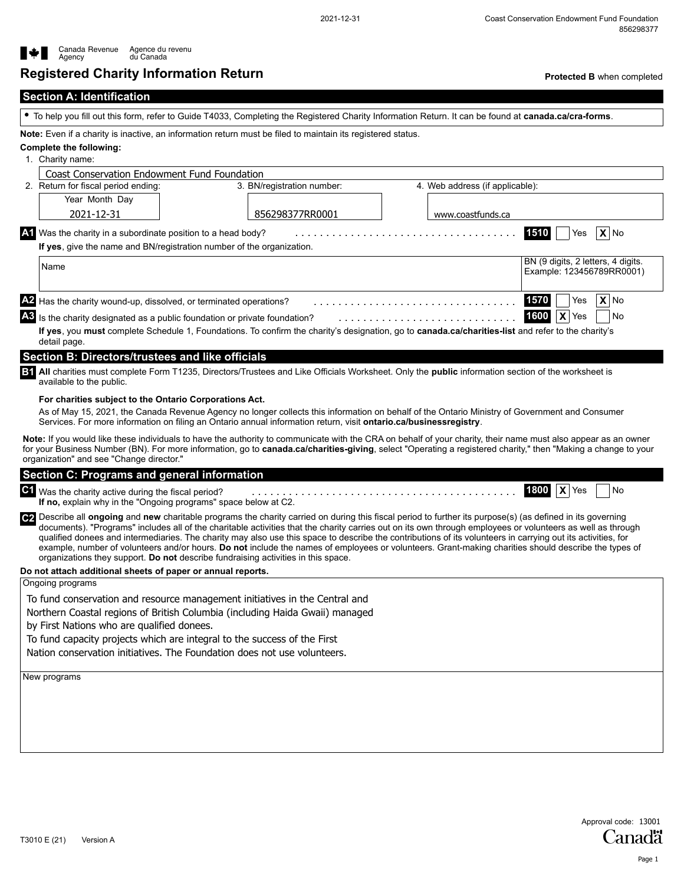**1800 X** Yes



# **Registered Charity Information Return**

**Protected B** when completed

To help you fill out this form, refer to Guide T4033, Completing the Registered Charity Information Return. It can be found at **canada.ca/cra-forms**.

**Note:** Even if a charity is inactive, an information return must be filed to maintain its registered status.

#### **Complete the following:**

1. Charity name:

detail page.

| <b>Coast Conservation Endowment Fund Foundation</b>                                                                                                |                            |                                 |                                                                 |  |  |  |  |
|----------------------------------------------------------------------------------------------------------------------------------------------------|----------------------------|---------------------------------|-----------------------------------------------------------------|--|--|--|--|
| 2. Return for fiscal period ending:                                                                                                                | 3. BN/registration number: | 4. Web address (if applicable): |                                                                 |  |  |  |  |
| Year Month Day                                                                                                                                     |                            |                                 |                                                                 |  |  |  |  |
| 2021-12-31                                                                                                                                         | 856298377RR0001            | www.coastfunds.ca               |                                                                 |  |  |  |  |
| $\mathbf{W}$ Was the charity in a subordinate position to a head body?<br>If yes, give the name and BN/registration number of the organization.    |                            |                                 | $X $ No<br>1510<br>Yes                                          |  |  |  |  |
|                                                                                                                                                    |                            |                                 |                                                                 |  |  |  |  |
| Name                                                                                                                                               |                            |                                 | BN (9 digits, 2 letters, 4 digits.<br>Example: 123456789RR0001) |  |  |  |  |
|                                                                                                                                                    |                            |                                 |                                                                 |  |  |  |  |
| Has the charity wound-up, dissolved, or terminated operations?                                                                                     |                            |                                 | $X$ No<br>1570<br>Yes                                           |  |  |  |  |
| $\overline{AB}$ Is the charity designated as a public foundation or private foundation?                                                            |                            |                                 | 1600<br>$\mathbf{x}$<br>Yes<br>No.                              |  |  |  |  |
| If yes, you must complete Schedule 1, Foundations. To confirm the charity's designation, go to canada.ca/charities-list and refer to the charity's |                            |                                 |                                                                 |  |  |  |  |

## **Section B: Directors/trustees and like officials**

**B1** All charities must complete Form T1235, Directors/Trustees and Like Officials Worksheet. Only the **public** information section of the worksheet is available to the public.

#### **For charities subject to the Ontario Corporations Act.**

As of May 15, 2021, the Canada Revenue Agency no longer collects this information on behalf of the Ontario Ministry of Government and Consumer Services. For more information on filing an Ontario annual information return, visit **ontario.ca/businessregistry**.

**Note:** If you would like these individuals to have the authority to communicate with the CRA on behalf of your charity, their name must also appear as an owner for your Business Number (BN). For more information, go to **canada.ca/charities-giving**, select "Operating a registered charity," then "Making a change to your organization" and see "Change director."

#### **Section C: Programs and general information**

## $\bf{C1}$  Was the charity active during the fiscal period?  $\bf{a_1, \ldots, a_n, \ldots, a_n, \ldots, a_n, \ldots, a_n}$  .  $\bf{1800} \mid \bf{X} \mid \text{Yes} \mid \text{No}$

**If no,** explain why in the "Ongoing programs" space below at C2.

**C2** Describe all **ongoing** and **new** charitable programs the charity carried on during this fiscal period to further its purpose(s) (as defined in its governing documents). "Programs" includes all of the charitable activities that the charity carries out on its own through employees or volunteers as well as through qualified donees and intermediaries. The charity may also use this space to describe the contributions of its volunteers in carrying out its activities, for example, number of volunteers and/or hours. **Do not** include the names of employees or volunteers. Grant-making charities should describe the types of organizations they support. **Do not** describe fundraising activities in this space.

#### **Do not attach additional sheets of paper or annual reports.**

Ongoing programs

To fund conservation and resource management initiatives in the Central and

Northern Coastal regions of British Columbia (including Haida Gwaii) managed

by First Nations who are qualified donees.

To fund capacity projects which are integral to the success of the First

Nation conservation initiatives. The Foundation does not use volunteers.

New programs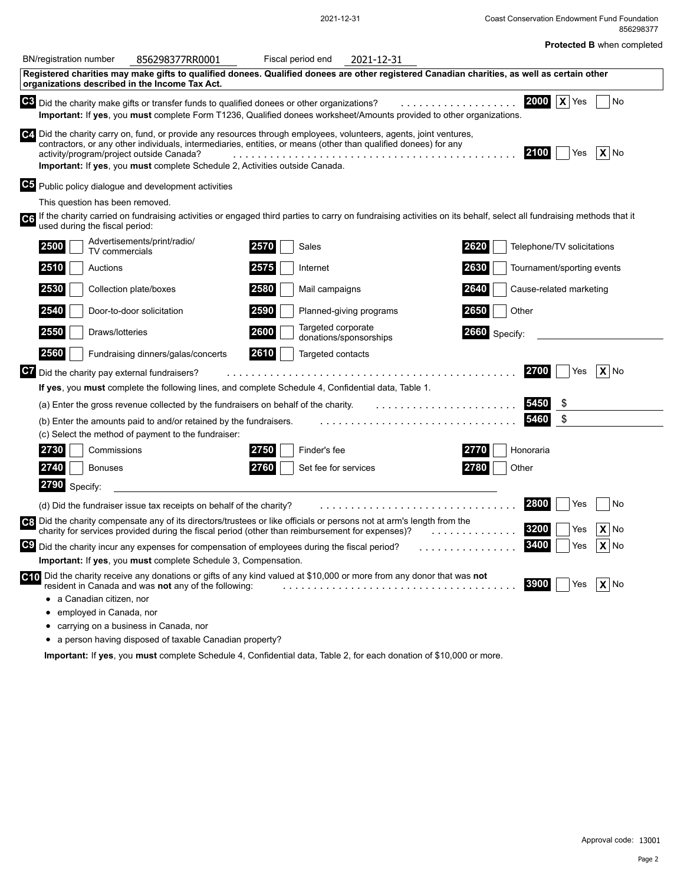|  |  |  | <b>Protected B when completed</b> |  |  |
|--|--|--|-----------------------------------|--|--|
|  |  |  |                                   |  |  |

| ----------- |                                   |
|-------------|-----------------------------------|
|             | 856298377                         |
|             | <b>Protected B when completed</b> |

|    | <b>BN/registration number</b>                  | 856298377RR0001                                                                                                                                                                                                                                                                                                       | Fiscal period end |                                              | 2021-12-31              |               |                                                                                                                                                                      |    |
|----|------------------------------------------------|-----------------------------------------------------------------------------------------------------------------------------------------------------------------------------------------------------------------------------------------------------------------------------------------------------------------------|-------------------|----------------------------------------------|-------------------------|---------------|----------------------------------------------------------------------------------------------------------------------------------------------------------------------|----|
|    | organizations described in the Income Tax Act. | Registered charities may make gifts to qualified donees. Qualified donees are other registered Canadian charities, as well as certain other                                                                                                                                                                           |                   |                                              |                         |               |                                                                                                                                                                      |    |
|    |                                                | C3 Did the charity make gifts or transfer funds to qualified donees or other organizations?<br>Important: If yes, you must complete Form T1236, Qualified donees worksheet/Amounts provided to other organizations.                                                                                                   |                   |                                              |                         |               | 2000<br>$\mathsf{X}$ Yes                                                                                                                                             | No |
|    | activity/program/project outside Canada?       | C4. Did the charity carry on, fund, or provide any resources through employees, volunteers, agents, joint ventures,<br>contractors, or any other individuals, intermediaries, entities, or means (other than qualified donees) for any<br>Important: If yes, you must complete Schedule 2, Activities outside Canada. |                   |                                              |                         |               | 2100<br>$X $ No<br>Yes                                                                                                                                               |    |
|    |                                                | C5 Public policy dialogue and development activities                                                                                                                                                                                                                                                                  |                   |                                              |                         |               |                                                                                                                                                                      |    |
|    | This question has been removed.                |                                                                                                                                                                                                                                                                                                                       |                   |                                              |                         |               |                                                                                                                                                                      |    |
| C6 | used during the fiscal period:                 |                                                                                                                                                                                                                                                                                                                       |                   |                                              |                         |               | l If the charity carried on fundraising activities or engaged third parties to carry on fundraising activities on its behalf, select all fundraising methods that it |    |
|    | 2500<br>TV commercials                         | Advertisements/print/radio/                                                                                                                                                                                                                                                                                           | 2570              | Sales                                        |                         | 2620          | Telephone/TV solicitations                                                                                                                                           |    |
|    | 2510<br>Auctions                               |                                                                                                                                                                                                                                                                                                                       | 2575              | Internet                                     |                         | 2630          | Tournament/sporting events                                                                                                                                           |    |
|    | 2530                                           | Collection plate/boxes                                                                                                                                                                                                                                                                                                | 2580              | Mail campaigns                               |                         | 2640          | Cause-related marketing                                                                                                                                              |    |
|    | 2540                                           | Door-to-door solicitation                                                                                                                                                                                                                                                                                             | 2590              |                                              | Planned-giving programs | 2650          | Other                                                                                                                                                                |    |
|    | 2550<br>Draws/lotteries                        |                                                                                                                                                                                                                                                                                                                       | 2600              | Targeted corporate<br>donations/sponsorships |                         | 2660 Specify: |                                                                                                                                                                      |    |
|    | 2560                                           | Fundraising dinners/galas/concerts                                                                                                                                                                                                                                                                                    | 2610              | Targeted contacts                            |                         |               |                                                                                                                                                                      |    |
|    | OZ Did the charity pay external fundraisers?   |                                                                                                                                                                                                                                                                                                                       |                   |                                              |                         |               | 2700<br>$X $ No<br>Yes                                                                                                                                               |    |
|    |                                                | If yes, you must complete the following lines, and complete Schedule 4, Confidential data, Table 1.                                                                                                                                                                                                                   |                   |                                              |                         |               |                                                                                                                                                                      |    |
|    |                                                | (a) Enter the gross revenue collected by the fundraisers on behalf of the charity.                                                                                                                                                                                                                                    |                   |                                              |                         |               | 5450<br>\$                                                                                                                                                           |    |
|    |                                                | (b) Enter the amounts paid to and/or retained by the fundraisers.                                                                                                                                                                                                                                                     |                   |                                              |                         |               | \$<br>5460                                                                                                                                                           |    |
|    |                                                | (c) Select the method of payment to the fundraiser:                                                                                                                                                                                                                                                                   |                   |                                              |                         |               |                                                                                                                                                                      |    |
|    | 2730<br>Commissions                            |                                                                                                                                                                                                                                                                                                                       | 2750              | Finder's fee                                 |                         | 2770          | Honoraria                                                                                                                                                            |    |
|    | 2740<br><b>Bonuses</b>                         |                                                                                                                                                                                                                                                                                                                       | 2760              | Set fee for services                         |                         | 2780          | Other                                                                                                                                                                |    |
|    | 2790 Specify                                   |                                                                                                                                                                                                                                                                                                                       |                   |                                              |                         |               |                                                                                                                                                                      |    |
|    |                                                | (d) Did the fundraiser issue tax receipts on behalf of the charity?                                                                                                                                                                                                                                                   |                   |                                              |                         |               | 2800<br>Yes                                                                                                                                                          | No |
|    |                                                | C8 Did the charity compensate any of its directors/trustees or like officials or persons not at arm's length from the<br>charity for services provided during the fiscal period (other than reimbursement for expenses)?                                                                                              |                   |                                              |                         | .             | 3200<br>$X $ No<br>Yes                                                                                                                                               |    |
|    |                                                | C9 Did the charity incur any expenses for compensation of employees during the fiscal period?                                                                                                                                                                                                                         |                   |                                              |                         | .             | 3400<br>X No<br>Yes                                                                                                                                                  |    |
|    |                                                | Important: If yes, you must complete Schedule 3, Compensation.                                                                                                                                                                                                                                                        |                   |                                              |                         |               |                                                                                                                                                                      |    |
|    |                                                | C <sub>10</sub> Did the charity receive any donations or gifts of any kind valued at \$10,000 or more from any donor that was not<br>resident in Canada and was not any of the following:                                                                                                                             |                   |                                              |                         |               | 3900<br>X No<br>Yes                                                                                                                                                  |    |
|    | • a Canadian citizen, nor                      |                                                                                                                                                                                                                                                                                                                       |                   |                                              |                         |               |                                                                                                                                                                      |    |
|    | employed in Canada, nor                        |                                                                                                                                                                                                                                                                                                                       |                   |                                              |                         |               |                                                                                                                                                                      |    |
|    | • carrying on a business in Canada, nor        |                                                                                                                                                                                                                                                                                                                       |                   |                                              |                         |               |                                                                                                                                                                      |    |

a person having disposed of taxable Canadian property?

**Important:** If **yes**, you **must** complete Schedule 4, Confidential data, Table 2, for each donation of \$10,000 or more.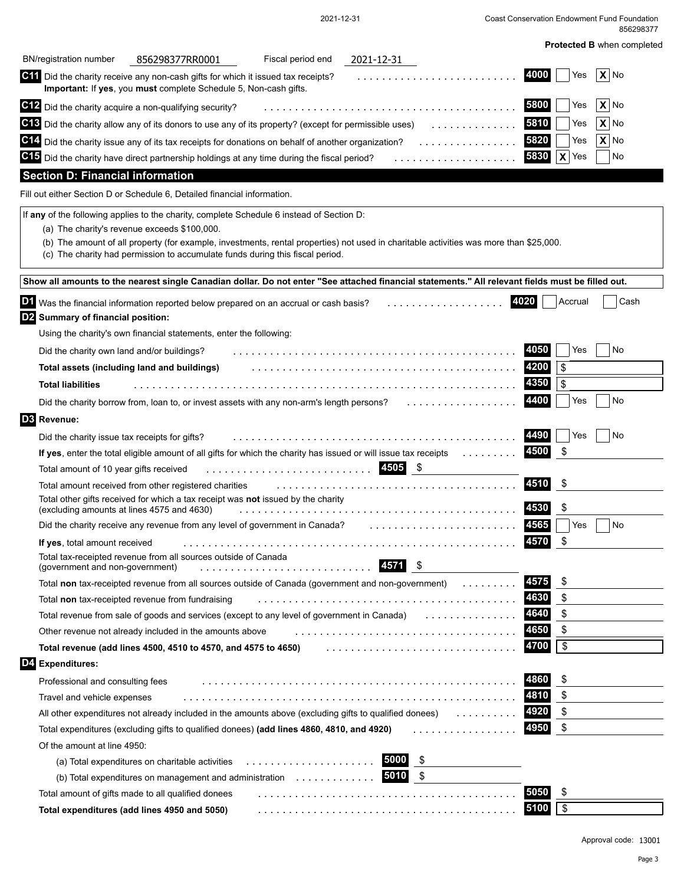| Coast Conservation Endowment Fund Foundation |           |
|----------------------------------------------|-----------|
|                                              | 856298377 |

| <b>BN/registration number</b><br>Fiscal period end<br>856298377RR0001<br>2021-12-31                                                                                                                                     |                         |
|-------------------------------------------------------------------------------------------------------------------------------------------------------------------------------------------------------------------------|-------------------------|
| C11 Did the charity receive any non-cash gifts for which it issued tax receipts?<br>.<br>Important: If yes, you must complete Schedule 5, Non-cash gifts.                                                               | 4000<br>$X $ No<br>Yes  |
| C12 Did the charity acquire a non-qualifying security?                                                                                                                                                                  | $X $ No<br>5800<br>Yes  |
| C18 Did the charity allow any of its donors to use any of its property? (except for permissible uses)<br>.                                                                                                              | 5810<br>X N<br>Yes      |
| C14 Did the charity issue any of its tax receipts for donations on behalf of another organization?                                                                                                                      | 5820<br>$X $ No<br>Yes  |
| C15 Did the charity have direct partnership holdings at any time during the fiscal period?<br>.                                                                                                                         | 5830<br>$X$ Yes<br>No   |
| <b>Section D: Financial information</b>                                                                                                                                                                                 |                         |
| Fill out either Section D or Schedule 6, Detailed financial information.                                                                                                                                                |                         |
| If any of the following applies to the charity, complete Schedule 6 instead of Section D:                                                                                                                               |                         |
| (a) The charity's revenue exceeds \$100,000.                                                                                                                                                                            |                         |
| (b) The amount of all property (for example, investments, rental properties) not used in charitable activities was more than \$25,000.<br>(c) The charity had permission to accumulate funds during this fiscal period. |                         |
|                                                                                                                                                                                                                         |                         |
| Show all amounts to the nearest single Canadian dollar. Do not enter "See attached financial statements." All relevant fields must be filled out.                                                                       |                         |
| D1 Was the financial information reported below prepared on an accrual or cash basis?<br>.                                                                                                                              | 4020<br>Accrual<br>Cash |
| D2 Summary of financial position:                                                                                                                                                                                       |                         |
| Using the charity's own financial statements, enter the following:                                                                                                                                                      |                         |
| Did the charity own land and/or buildings?                                                                                                                                                                              | 4050<br>Yes<br>No       |
| Total assets (including land and buildings)                                                                                                                                                                             | 4200<br>\$              |
| <b>Total liabilities</b>                                                                                                                                                                                                | 4350<br>\$              |
| Did the charity borrow from, loan to, or invest assets with any non-arm's length persons?<br>.                                                                                                                          | 4400<br>No<br>Yes       |
| <b>D3</b> Revenue:                                                                                                                                                                                                      |                         |
| Did the charity issue tax receipts for gifts?                                                                                                                                                                           | 4490<br>Yes<br>No       |
| If yes, enter the total eligible amount of all gifts for which the charity has issued or will issue tax receipts                                                                                                        | \$<br>4500              |
| 4505 \$<br>Total amount of 10 year gifts received                                                                                                                                                                       |                         |
| Total amount received from other registered charities                                                                                                                                                                   | 4510<br>-\$             |
| Total other gifts received for which a tax receipt was not issued by the charity                                                                                                                                        |                         |
| (excluding amounts at lines 4575 and 4630)                                                                                                                                                                              | \$<br>4530              |
| Did the charity receive any revenue from any level of government in Canada?                                                                                                                                             | 4565<br>Yes<br>No       |
| If yes, total amount received                                                                                                                                                                                           | \$<br>4570              |
| Total tax-receipted revenue from all sources outside of Canada<br>4571<br>\$<br>(government and non-government)<br>.                                                                                                    |                         |
| Total non tax-receipted revenue from all sources outside of Canada (government and non-government)                                                                                                                      | 4575<br>\$              |
| Total non tax-receipted revenue from fundraising                                                                                                                                                                        | 4630<br>\$              |
| Total revenue from sale of goods and services (except to any level of government in Canada)                                                                                                                             | \$<br>4640              |
| Other revenue not already included in the amounts above                                                                                                                                                                 | 4650<br>\$              |
| Total revenue (add lines 4500, 4510 to 4570, and 4575 to 4650)                                                                                                                                                          | \$<br>4700              |
| D4 Expenditures:                                                                                                                                                                                                        |                         |
| Professional and consulting fees                                                                                                                                                                                        | 4860<br>\$              |
| Travel and vehicle expenses                                                                                                                                                                                             | \$<br>4810              |
| All other expenditures not already included in the amounts above (excluding gifts to qualified donees)                                                                                                                  | \$<br>4920              |
| Total expenditures (excluding gifts to qualified donees) (add lines 4860, 4810, and 4920)<br>.                                                                                                                          | \$<br>4950              |
| Of the amount at line 4950:                                                                                                                                                                                             |                         |
| 5000<br>\$<br>(a) Total expenditures on charitable activities                                                                                                                                                           |                         |
| \$<br>5010<br>(b) Total expenditures on management and administration $\dots\dots\dots\dots\dots$                                                                                                                       |                         |
| Total amount of gifts made to all qualified donees                                                                                                                                                                      | 5050<br>\$              |
| Total expenditures (add lines 4950 and 5050)                                                                                                                                                                            | 5100<br>\$              |

2021-12-31

Approval code: 13001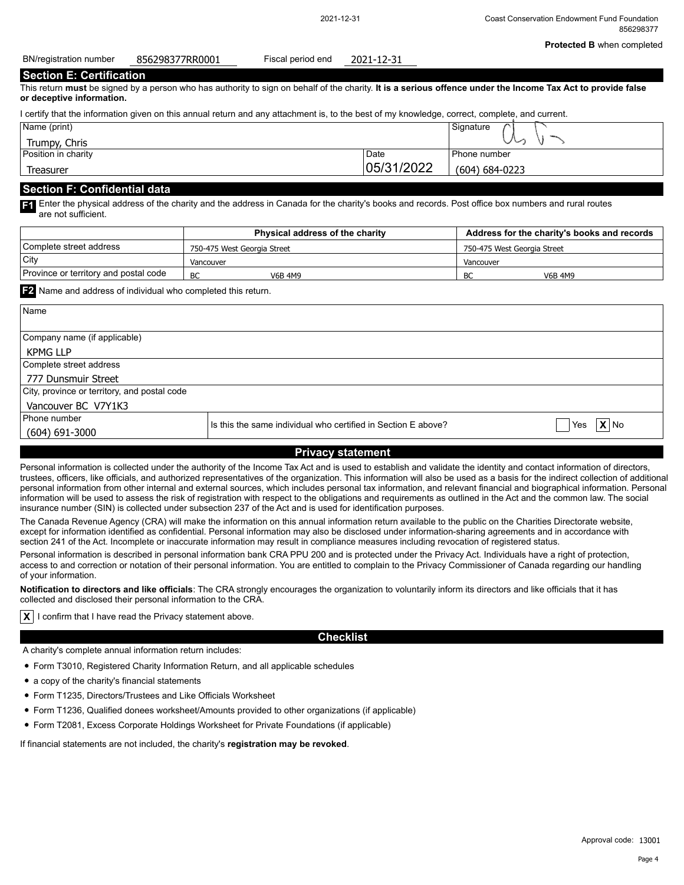| 856298377RR0001<br>2021-12-31 |
|-------------------------------|
|-------------------------------|

#### **Section E: Certification**

This return **must** be signed by a person who has authority to sign on behalf of the charity. **It is a serious offence under the Income Tax Act to provide false or deceptive information.**

| I certify that the information given on this annual return and any attachment is, to the best of my knowledge, correct, complete, and current. |            |                |  |  |  |
|------------------------------------------------------------------------------------------------------------------------------------------------|------------|----------------|--|--|--|
| Name (print)<br>Signature                                                                                                                      |            |                |  |  |  |
| Trumpy, Chris                                                                                                                                  |            |                |  |  |  |
| Position in charity                                                                                                                            | Date       | l Phone number |  |  |  |
| Treasurer                                                                                                                                      | 05/31/2022 | (604) 684-0223 |  |  |  |

#### **Section F: Confidential data**

**F1** Enter the physical address of the charity and the address in Canada for the charity's books and records. Post office box numbers and rural routes are not sufficient.

|                                       | <b>Physical address of the charity</b> | Address for the charity's books and records |
|---------------------------------------|----------------------------------------|---------------------------------------------|
| l Complete street address             | 750-475 West Georgia Street            | 750-475 West Georgia Street                 |
| City                                  | Vancouver                              | Vancouver                                   |
| Province or territory and postal code | BC<br>V6B 4M9                          | BC<br><b>V6B 4M9</b>                        |

**F2** Name and address of individual who completed this return.

| Name                                                                                             |  |  |  |  |  |
|--------------------------------------------------------------------------------------------------|--|--|--|--|--|
| Company name (if applicable)                                                                     |  |  |  |  |  |
| <b>KPMG LLP</b>                                                                                  |  |  |  |  |  |
| Complete street address                                                                          |  |  |  |  |  |
| 777 Dunsmuir Street                                                                              |  |  |  |  |  |
| City, province or territory, and postal code                                                     |  |  |  |  |  |
| Vancouver BC V7Y1K3                                                                              |  |  |  |  |  |
| Phone number<br>$\mathbf{X}$ No<br>Is this the same individual who certified in Section E above? |  |  |  |  |  |
| Yes<br>$(604) 691 - 3000$                                                                        |  |  |  |  |  |
| <b>Privacy statement</b>                                                                         |  |  |  |  |  |

Personal information is collected under the authority of the Income Tax Act and is used to establish and validate the identity and contact information of directors, trustees, officers, like officials, and authorized representatives of the organization. This information will also be used as a basis for the indirect collection of additional personal information from other internal and external sources, which includes personal tax information, and relevant financial and biographical information. Personal information will be used to assess the risk of registration with respect to the obligations and requirements as outlined in the Act and the common law. The social insurance number (SIN) is collected under subsection 237 of the Act and is used for identification purposes.

The Canada Revenue Agency (CRA) will make the information on this annual information return available to the public on the Charities Directorate website, except for information identified as confidential. Personal information may also be disclosed under information-sharing agreements and in accordance with section 241 of the Act. Incomplete or inaccurate information may result in compliance measures including revocation of registered status.

Personal information is described in personal information bank CRA PPU 200 and is protected under the Privacy Act. Individuals have a right of protection, access to and correction or notation of their personal information. You are entitled to complain to the Privacy Commissioner of Canada regarding our handling of your information.

**Notification to directors and like officials**: The CRA strongly encourages the organization to voluntarily inform its directors and like officials that it has collected and disclosed their personal information to the CRA.

**X** I confirm that I have read the Privacy statement above.

### **Checklist**

A charity's complete annual information return includes:

- Form T3010, Registered Charity Information Return, and all applicable schedules
- a copy of the charity's financial statements
- Form T1235, Directors/Trustees and Like Officials Worksheet
- Form T1236, Qualified donees worksheet/Amounts provided to other organizations (if applicable)
- Form T2081, Excess Corporate Holdings Worksheet for Private Foundations (if applicable)

If financial statements are not included, the charity's **registration may be revoked**.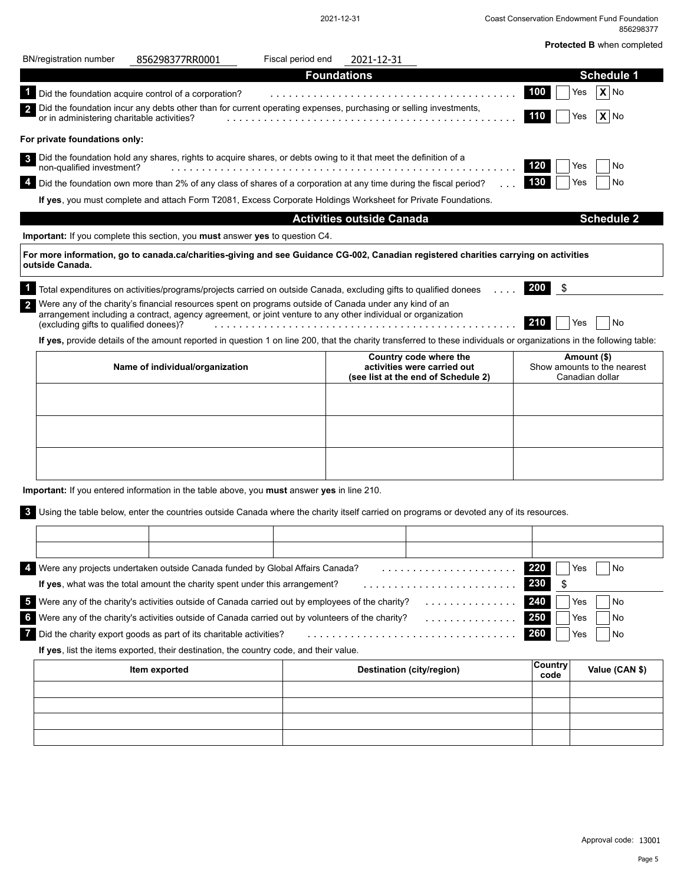|                                            |                                                                                                                                                                                                                        |                   |                                  |                                                                                              |                  | <b>Protected B</b> when completed                             |
|--------------------------------------------|------------------------------------------------------------------------------------------------------------------------------------------------------------------------------------------------------------------------|-------------------|----------------------------------|----------------------------------------------------------------------------------------------|------------------|---------------------------------------------------------------|
| <b>BN/registration number</b>              | 856298377RR0001                                                                                                                                                                                                        | Fiscal period end | 2021-12-31                       |                                                                                              |                  |                                                               |
|                                            |                                                                                                                                                                                                                        |                   | <b>Foundations</b>               |                                                                                              |                  | <b>Schedule 1</b>                                             |
|                                            | Did the foundation acquire control of a corporation?                                                                                                                                                                   |                   |                                  |                                                                                              | 100              | $X $ No<br>Yes                                                |
| or in administering charitable activities? | Did the foundation incur any debts other than for current operating expenses, purchasing or selling investments,                                                                                                       |                   |                                  |                                                                                              | 110              | $X $ No<br>Yes                                                |
| For private foundations only:              |                                                                                                                                                                                                                        |                   |                                  |                                                                                              |                  |                                                               |
| non-qualified investment?                  | Did the foundation hold any shares, rights to acquire shares, or debts owing to it that meet the definition of a                                                                                                       |                   |                                  |                                                                                              | 120              | No<br>Yes                                                     |
|                                            | 4 Did the foundation own more than 2% of any class of shares of a corporation at any time during the fiscal period?                                                                                                    |                   |                                  |                                                                                              | 130              | No<br>Yes                                                     |
|                                            | If yes, you must complete and attach Form T2081, Excess Corporate Holdings Worksheet for Private Foundations.                                                                                                          |                   |                                  |                                                                                              |                  |                                                               |
|                                            |                                                                                                                                                                                                                        |                   | <b>Activities outside Canada</b> |                                                                                              |                  | <b>Schedule 2</b>                                             |
|                                            | Important: If you complete this section, you must answer yes to question C4.                                                                                                                                           |                   |                                  |                                                                                              |                  |                                                               |
| outside Canada.                            | For more information, go to canada.ca/charities-giving and see Guidance CG-002, Canadian registered charities carrying on activities                                                                                   |                   |                                  |                                                                                              |                  |                                                               |
|                                            | Total expenditures on activities/programs/projects carried on outside Canada, excluding gifts to qualified donees                                                                                                      |                   |                                  |                                                                                              | <b>200</b><br>\$ |                                                               |
| (excluding gifts to qualified donees)?     | Were any of the charity's financial resources spent on programs outside of Canada under any kind of an<br>arrangement including a contract, agency agreement, or joint venture to any other individual or organization |                   |                                  |                                                                                              | 210              | No<br>Yes                                                     |
|                                            | If yes, provide details of the amount reported in question 1 on line 200, that the charity transferred to these individuals or organizations in the following table:                                                   |                   |                                  |                                                                                              |                  |                                                               |
|                                            | Name of individual/organization                                                                                                                                                                                        |                   |                                  | Country code where the<br>activities were carried out<br>(see list at the end of Schedule 2) |                  | Amount (\$)<br>Show amounts to the nearest<br>Canadian dollar |
|                                            |                                                                                                                                                                                                                        |                   |                                  |                                                                                              |                  |                                                               |
|                                            |                                                                                                                                                                                                                        |                   |                                  |                                                                                              |                  |                                                               |
|                                            |                                                                                                                                                                                                                        |                   |                                  |                                                                                              |                  |                                                               |
|                                            | Important: If you entered information in the table above, you must answer yes in line 210.                                                                                                                             |                   |                                  |                                                                                              |                  |                                                               |
|                                            | Using the table below, enter the countries outside Canada where the charity itself carried on programs or devoted any of its resources.                                                                                |                   |                                  |                                                                                              |                  |                                                               |
|                                            |                                                                                                                                                                                                                        |                   |                                  |                                                                                              |                  |                                                               |
|                                            |                                                                                                                                                                                                                        |                   |                                  |                                                                                              |                  |                                                               |
|                                            | Were any projects undertaken outside Canada funded by Global Affairs Canada?                                                                                                                                           |                   |                                  |                                                                                              | 220              | No<br>Yes                                                     |
|                                            | If yes, what was the total amount the charity spent under this arrangement?                                                                                                                                            |                   |                                  | .                                                                                            | 230<br>\$        |                                                               |
|                                            | Were any of the charity's activities outside of Canada carried out by employees of the charity?                                                                                                                        |                   |                                  | . <b>.</b> .                                                                                 | 240              | Yes<br>No                                                     |
|                                            | Were any of the charity's activities outside of Canada carried out by volunteers of the charity?                                                                                                                       |                   |                                  |                                                                                              | 250              | Yes<br>No                                                     |
|                                            | Did the charity export goods as part of its charitable activities?                                                                                                                                                     |                   |                                  | .                                                                                            | 260              | Yes<br>No                                                     |
|                                            | If yes, list the items exported, their destination, the country code, and their value.                                                                                                                                 |                   |                                  |                                                                                              |                  |                                                               |
|                                            | Item exported                                                                                                                                                                                                          |                   |                                  | Destination (city/region)                                                                    | Country<br>code  | Value (CAN \$)                                                |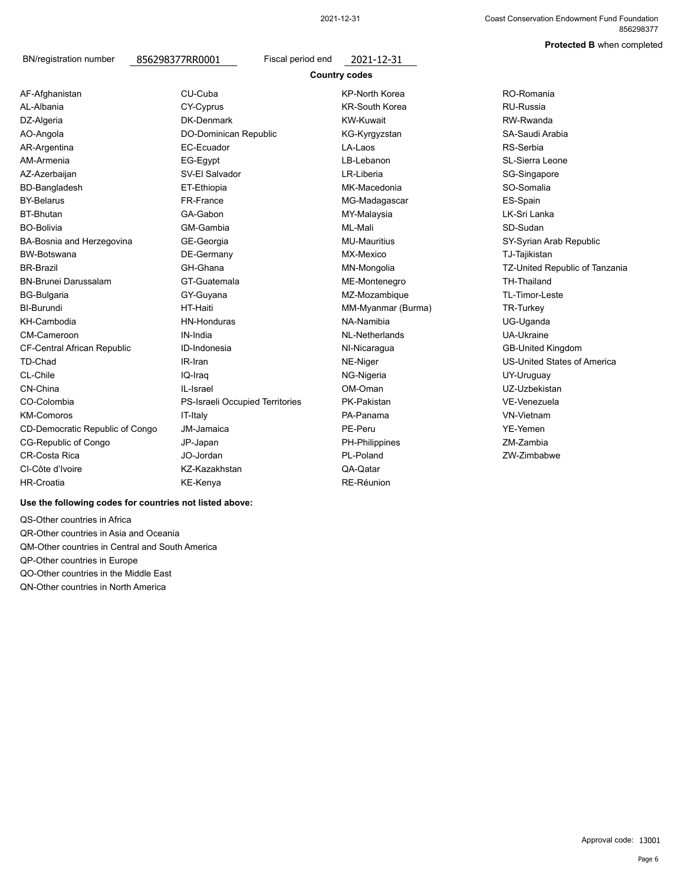#### **Protected B** when completed

BN/registration number 856298377RR0001 Fiscal period end 2021-12-31

AO-Angola AR-Argentina AZ-Azerbaijan AM-Armenia BD-Bangladesh AF-Afghanistan AL-Albania CY-Cyprus KR-South Korea RU-Russia DZ-Algeria BY-Belarus BT-Bhutan BO-Bolivia BW-Botswana BA-Bosnia and Herzegovina BR-Brazil BN-Brunei Darussalam BI-Burundi BG-Bulgaria KH-Cambodia CM-Cameroon IN-India NL-Netherlands UA-Ukraine CF-Central African Republic ID-Indonesia NI-Nicaragua GB-United Kingdom TD-Chad IR-Iran NE-Niger US-United States of America CL-Chile **IQ-Iraq CL-Chile IQ-Iraq CL-Chile** NG-Nigeria CN-China IL-Israel OM-Oman UZ-Uzbekistan CO-Colombia PS-Israeli Occupied Territories PK-Pakistan KM-Comoros CD-Democratic Republic of Congo CG-Republic of Congo CR-Costa Rica CI-Côte d'Ivoire HR-Croatia

CU-Cuba KP-North Korea DK-Denmark DO-Dominican Republic EC-Ecuador SV-El Salvador EG-Egypt ET-Ethiopia FR-France GA-Gabon GM-Gambia GT-Guatemala HT-Haiti GY-Guyana HN-Honduras GE-Georgia DE-Germany GH-Ghana IT-Italy PA-Panama JM-Jamaica PE-Peru YE-Yemen JP-Japan PH-Philippines JO-Jordan **PL-Poland** PL-Poland ZW-Zimbabwe KZ-Kazakhstan QA-Qatar KE-Kenya RE-Réunion

**Country codes** KW-Kuwait KG-Kyrgyzstan LA-Laos LB-Lebanon LR-Liberia MK-Macedonia MG-Madagascar MY-Malaysia ML-Mali MX-Mexico MN-Mongolia MU-Mauritius ME-Montenegro MM-Myanmar (Burma) NA-Namibia MZ-Mozambique

RW-Rwanda SA-Saudi Arabia RS-Serbia SG-Singapore SL-Sierra Leone SO-Somalia RO-Romania ES-Spain LK-Sri Lanka SD-Sudan TJ-Tajikistan SY-Syrian Arab Republic TZ-United Republic of Tanzania TH-Thailand TR-Turkey TL-Timor-Leste UG-Uganda VE-Venezuela UY-Uruguay ZM-Zambia VN-Vietnam

#### **Use the following codes for countries not listed above:**

QS-Other countries in Africa QR-Other countries in Asia and Oceania QM-Other countries in Central and South America QP-Other countries in Europe QO-Other countries in the Middle East QN-Other countries in North America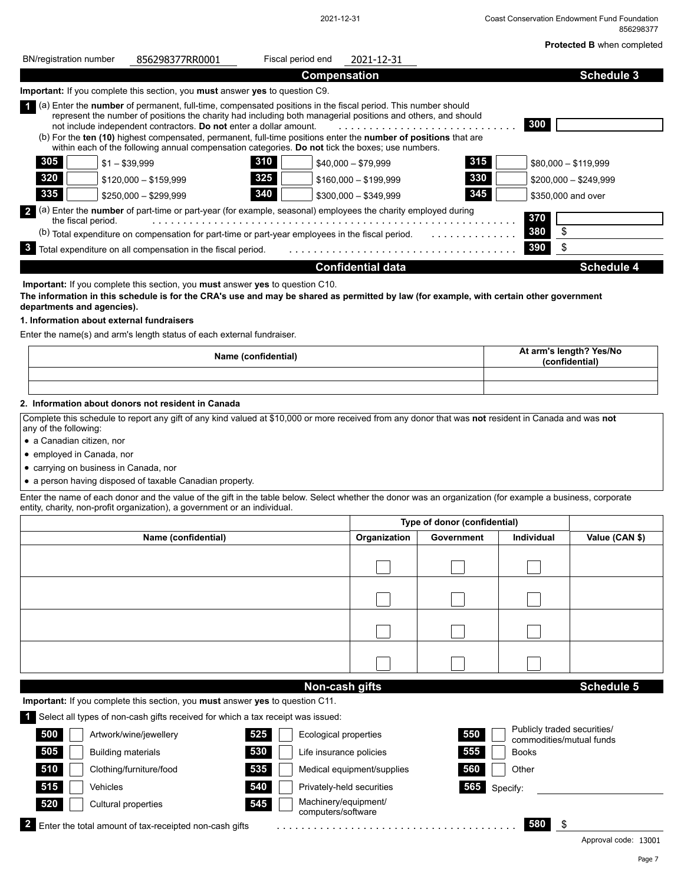|                                                                                                                                                                                                                                                                                                                                                                                                                                                                                                                                    |                          |                              |                    | 856298377<br>Protected B when completed   |
|------------------------------------------------------------------------------------------------------------------------------------------------------------------------------------------------------------------------------------------------------------------------------------------------------------------------------------------------------------------------------------------------------------------------------------------------------------------------------------------------------------------------------------|--------------------------|------------------------------|--------------------|-------------------------------------------|
| <b>BN/registration number</b><br>Fiscal period end<br>856298377RR0001                                                                                                                                                                                                                                                                                                                                                                                                                                                              | 2021-12-31               |                              |                    |                                           |
| <b>Compensation</b>                                                                                                                                                                                                                                                                                                                                                                                                                                                                                                                |                          |                              |                    | <b>Schedule 3</b>                         |
| <b>Important:</b> If you complete this section, you <b>must</b> answer yes to question C9.                                                                                                                                                                                                                                                                                                                                                                                                                                         |                          |                              |                    |                                           |
| 4 (a) Enter the <b>number</b> of permanent, full-time, compensated positions in the fiscal period. This number should<br>represent the number of positions the charity had including both managerial positions and others, and should<br>not include independent contractors. Do not enter a dollar amount.<br>(b) For the ten (10) highest compensated, permanent, full-time positions enter the number of positions that are<br>within each of the following annual compensation categories. Do not tick the boxes; use numbers. | .                        |                              | 300                |                                           |
| 305<br>310<br>$$1 - $39,999$                                                                                                                                                                                                                                                                                                                                                                                                                                                                                                       | $$40,000 - $79,999$      | 315                          |                    | $$80,000 - $119,999$                      |
| 320<br>325<br>$$120.000 - $159.999$                                                                                                                                                                                                                                                                                                                                                                                                                                                                                                | $$160,000 - $199,999$    | 330                          |                    | $$200,000 - $249,999$                     |
| 335<br>340<br>$$250,000 - $299,999$                                                                                                                                                                                                                                                                                                                                                                                                                                                                                                | $$300,000 - $349,999$    | 345                          | \$350,000 and over |                                           |
| (a) Enter the number of part-time or part-year (for example, seasonal) employees the charity employed during                                                                                                                                                                                                                                                                                                                                                                                                                       |                          |                              |                    |                                           |
| the fiscal period.<br>(b) Total expenditure on compensation for part-time or part-year employees in the fiscal period.                                                                                                                                                                                                                                                                                                                                                                                                             |                          |                              | 370<br>\$<br>380   |                                           |
| 3<br>Total expenditure on all compensation in the fiscal period.                                                                                                                                                                                                                                                                                                                                                                                                                                                                   |                          |                              | \$<br>390          |                                           |
|                                                                                                                                                                                                                                                                                                                                                                                                                                                                                                                                    | <b>Confidential data</b> |                              |                    | <b>Schedule 4</b>                         |
| Important: If you complete this section, you must answer yes to question C10.                                                                                                                                                                                                                                                                                                                                                                                                                                                      |                          |                              |                    |                                           |
| 1. Information about external fundraisers<br>Enter the name(s) and arm's length status of each external fundraiser.<br>Name (confidential)                                                                                                                                                                                                                                                                                                                                                                                         |                          |                              |                    | At arm's length? Yes/No<br>(confidential) |
| 2. Information about donors not resident in Canada<br>Complete this schedule to report any gift of any kind valued at \$10,000 or more received from any donor that was not resident in Canada and was not<br>any of the following:                                                                                                                                                                                                                                                                                                |                          |                              |                    |                                           |
| • a Canadian citizen, nor                                                                                                                                                                                                                                                                                                                                                                                                                                                                                                          |                          |                              |                    |                                           |
| • employed in Canada, nor                                                                                                                                                                                                                                                                                                                                                                                                                                                                                                          |                          |                              |                    |                                           |
| • carrying on business in Canada, nor                                                                                                                                                                                                                                                                                                                                                                                                                                                                                              |                          |                              |                    |                                           |
| • a person having disposed of taxable Canadian property.                                                                                                                                                                                                                                                                                                                                                                                                                                                                           |                          |                              |                    |                                           |
| Enter the name of each donor and the value of the gift in the table below. Select whether the donor was an organization (for example a business, corporate<br>entity, charity, non-profit organization), a government or an individual.                                                                                                                                                                                                                                                                                            |                          |                              |                    |                                           |
|                                                                                                                                                                                                                                                                                                                                                                                                                                                                                                                                    |                          | Type of donor (confidential) |                    |                                           |
| Name (confidential)                                                                                                                                                                                                                                                                                                                                                                                                                                                                                                                | Organization             | Government                   | Individual         | Value (CAN \$)                            |
|                                                                                                                                                                                                                                                                                                                                                                                                                                                                                                                                    |                          |                              |                    |                                           |
|                                                                                                                                                                                                                                                                                                                                                                                                                                                                                                                                    |                          |                              |                    |                                           |
|                                                                                                                                                                                                                                                                                                                                                                                                                                                                                                                                    |                          |                              |                    |                                           |
|                                                                                                                                                                                                                                                                                                                                                                                                                                                                                                                                    |                          |                              |                    |                                           |
|                                                                                                                                                                                                                                                                                                                                                                                                                                                                                                                                    |                          |                              |                    |                                           |

**Important:** If you complete this section, you **must** answer **yes** to question C11.

**1** Select all types of non-cash gifts received for which a tax receipt was issued:

| . .                                                    |     |                                            |     |              |                                                         |  |
|--------------------------------------------------------|-----|--------------------------------------------|-----|--------------|---------------------------------------------------------|--|
| 500<br>Artwork/wine/jewellery                          | 525 | Ecological properties                      | 550 |              | Publicly traded securities/<br>commodities/mutual funds |  |
| 505<br><b>Building materials</b>                       | 530 | Life insurance policies                    | 555 | <b>Books</b> |                                                         |  |
| 510<br>Clothing/furniture/food                         | 535 | Medical equipment/supplies                 | 560 | Other        |                                                         |  |
| 515<br><b>Vehicles</b>                                 | 540 | Privately-held securities                  | 565 | Specify:     |                                                         |  |
| 520<br>Cultural properties                             | 545 | Machinery/equipment/<br>computers/software |     |              |                                                         |  |
| Enter the total amount of tax-receipted non-cash gifts |     |                                            |     | 580          | S                                                       |  |
|                                                        |     |                                            |     |              | Approval code: 13001                                    |  |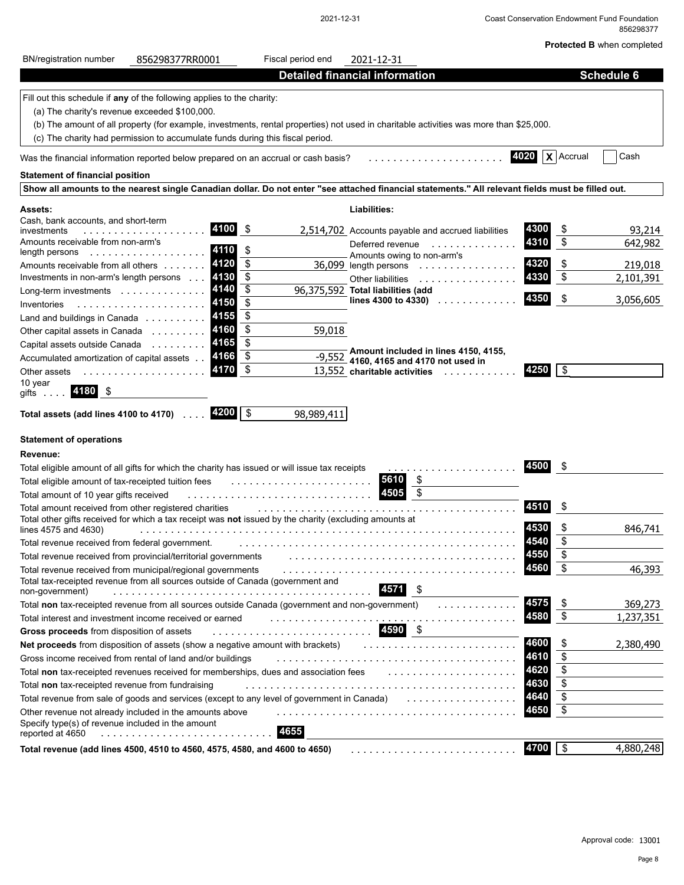#### 2021-12-31 Coast Conservation Endowment Fund Foundation 856298377

**Protected B** when completed

| <b>BN/registration number</b><br>856298377RR0001                                                                                                                | Fiscal period end | 2021-12-31                                          |                          |                        |
|-----------------------------------------------------------------------------------------------------------------------------------------------------------------|-------------------|-----------------------------------------------------|--------------------------|------------------------|
|                                                                                                                                                                 |                   | <b>Detailed financial information</b>               |                          | <b>Schedule 6</b>      |
| Fill out this schedule if any of the following applies to the charity:                                                                                          |                   |                                                     |                          |                        |
| (a) The charity's revenue exceeded \$100,000.                                                                                                                   |                   |                                                     |                          |                        |
| (b) The amount of all property (for example, investments, rental properties) not used in charitable activities was more than \$25,000.                          |                   |                                                     |                          |                        |
| (c) The charity had permission to accumulate funds during this fiscal period.                                                                                   |                   |                                                     |                          |                        |
| Was the financial information reported below prepared on an accrual or cash basis?                                                                              |                   |                                                     | $X$ Accrual<br>4020      | Cash                   |
| <b>Statement of financial position</b>                                                                                                                          |                   |                                                     |                          |                        |
| Show all amounts to the nearest single Canadian dollar. Do not enter "see attached financial statements." All relevant fields must be filled out.               |                   |                                                     |                          |                        |
| Assets:                                                                                                                                                         |                   | Liabilities:                                        |                          |                        |
| Cash, bank accounts, and short-term                                                                                                                             |                   |                                                     |                          |                        |
| 4100<br>investments<br>.                                                                                                                                        | \$                | 2,514,702 Accounts payable and accrued liabilities  | 4300<br>\$               | 93,214                 |
| Amounts receivable from non-arm's<br>4110<br>length persons                                                                                                     | \$                |                                                     | \$<br>4310               | 642,982                |
| 4120<br>Amounts receivable from all others                                                                                                                      | \$                | Amounts owing to non-arm's<br>36,099 length persons | \$<br>4320               | 219,018                |
| 4130<br>Investments in non-arm's length persons                                                                                                                 | \$                | Other liabilities<br>.                              | 4330<br>\$               | 2,101,391              |
| 4140<br>Long-term investments                                                                                                                                   | $\overline{\$}$   | 96,375,592 Total liabilities (add                   |                          |                        |
| 4150<br>Inventories                                                                                                                                             | \$                | lines 4300 to 4330) $\ldots$                        | \$<br>4350               | 3,056,605              |
| 4155<br>Land and buildings in Canada                                                                                                                            | \$                |                                                     |                          |                        |
| 4160<br>Other capital assets in Canada                                                                                                                          | \$<br>59,018      |                                                     |                          |                        |
| 4165<br>Capital assets outside Canada                                                                                                                           | \$                | Amount included in lines 4150, 4155,                |                          |                        |
| 4166<br>Accumulated amortization of capital assets                                                                                                              | \$                | $-9,552$ 4160, 4165 and 4170 not used in            |                          |                        |
| 4170<br>Other assets<br>.                                                                                                                                       | \$                | 13,552 charitable activities                        | 4250<br>\$               |                        |
| 10 year<br>4180 \$<br>gifts                                                                                                                                     |                   |                                                     |                          |                        |
|                                                                                                                                                                 |                   |                                                     |                          |                        |
| $4200$ \ \$<br>Total assets (add lines 4100 to 4170)                                                                                                            | 98,989,411        |                                                     |                          |                        |
| <b>Statement of operations</b>                                                                                                                                  |                   |                                                     |                          |                        |
| Revenue:                                                                                                                                                        |                   |                                                     |                          |                        |
| Total eligible amount of all gifts for which the charity has issued or will issue tax receipts                                                                  |                   |                                                     | 4500<br>\$               |                        |
| Total eligible amount of tax-receipted tuition fees                                                                                                             |                   | 5610<br>\$                                          |                          |                        |
| Total amount of 10 year gifts received                                                                                                                          |                   | \$<br>4505                                          |                          |                        |
| Total amount received from other registered charities                                                                                                           |                   |                                                     | \$<br>4510               |                        |
| Total other gifts received for which a tax receipt was not issued by the charity (excluding amounts at                                                          |                   |                                                     |                          |                        |
| lines 4575 and 4630)                                                                                                                                            |                   |                                                     | \$<br>4530<br>\$<br>4540 | 846,741                |
| Total revenue received from federal government.                                                                                                                 |                   |                                                     |                          |                        |
| Total revenue received from provincial/territorial governments                                                                                                  |                   |                                                     | Φ<br>4990<br>\$<br>4560  | 46,393                 |
| Total revenue received from municipal/regional governments<br>Total tax-receipted revenue from all sources outside of Canada (government and<br>non-government) |                   | .<br>4571 \$                                        |                          |                        |
| Total non tax-receipted revenue from all sources outside Canada (government and non-government)                                                                 |                   | .                                                   | 4575<br>\$               | 369,273                |
| Total interest and investment income received or earned                                                                                                         |                   |                                                     | \$<br>4580               | 1,237,351              |
| Gross proceeds from disposition of assets                                                                                                                       |                   | 4590 \$                                             |                          |                        |
| Net proceeds from disposition of assets (show a negative amount with brackets)                                                                                  |                   |                                                     | 4600<br>\$               | 2,380,490              |
| Gross income received from rental of land and/or buildings                                                                                                      |                   |                                                     | \$<br>4610               |                        |
| Total non tax-receipted revenues received for memberships, dues and association fees                                                                            |                   |                                                     | \$<br>4620               |                        |
| Total non tax-receipted revenue from fundraising                                                                                                                |                   |                                                     | \$<br>4630               |                        |
| Total revenue from sale of goods and services (except to any level of government in Canada)                                                                     |                   | .                                                   | \$<br>4640               |                        |
| Other revenue not already included in the amounts above                                                                                                         |                   |                                                     | \$<br>4650               |                        |
| Specify type(s) of revenue included in the amount<br>reported at 4650                                                                                           | 4655              |                                                     |                          |                        |
| Total revenue (add lines 4500, 4510 to 4560, 4575, 4580, and 4600 to 4650)                                                                                      |                   |                                                     | 4700<br>\$               | $\overline{4,880,248}$ |
|                                                                                                                                                                 |                   |                                                     |                          |                        |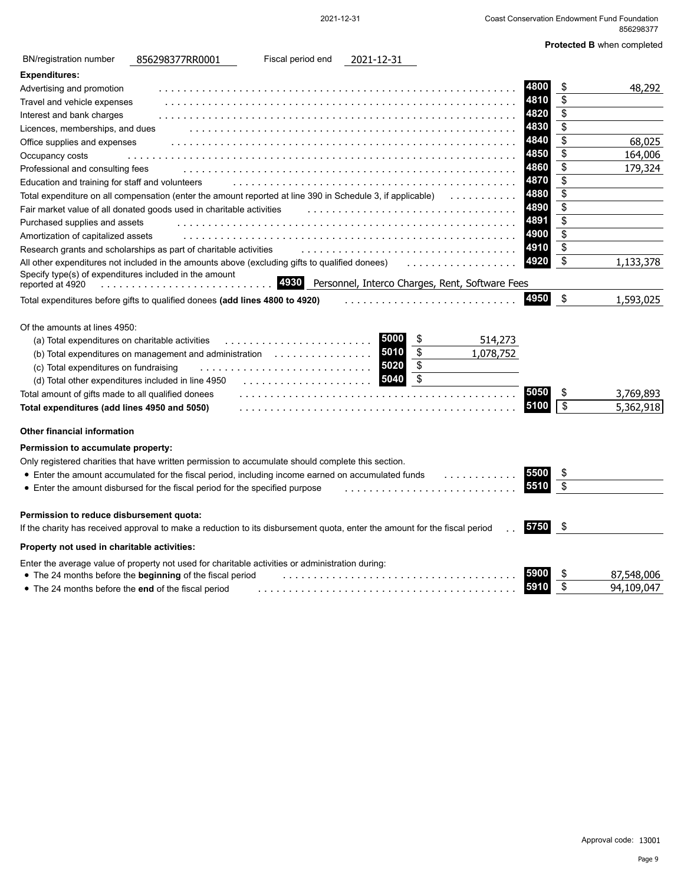| <b>BN/registration number</b>                                                                                                                                                                                                                        | 856298377RR0001                                                                                                            | Fiscal period end                                                                                              | 2021-12-31                   |                                                 |                                      |                       |                        |
|------------------------------------------------------------------------------------------------------------------------------------------------------------------------------------------------------------------------------------------------------|----------------------------------------------------------------------------------------------------------------------------|----------------------------------------------------------------------------------------------------------------|------------------------------|-------------------------------------------------|--------------------------------------|-----------------------|------------------------|
| <b>Expenditures:</b>                                                                                                                                                                                                                                 |                                                                                                                            |                                                                                                                |                              |                                                 |                                      |                       |                        |
| Advertising and promotion                                                                                                                                                                                                                            |                                                                                                                            |                                                                                                                |                              |                                                 | 4800                                 | \$                    | 48,292                 |
| Travel and vehicle expenses                                                                                                                                                                                                                          |                                                                                                                            |                                                                                                                |                              |                                                 | 4810                                 | \$                    |                        |
| Interest and bank charges                                                                                                                                                                                                                            |                                                                                                                            |                                                                                                                |                              |                                                 | 4820                                 | \$                    |                        |
| Licences, memberships, and dues                                                                                                                                                                                                                      |                                                                                                                            |                                                                                                                |                              |                                                 | 4830                                 | \$                    |                        |
| Office supplies and expenses                                                                                                                                                                                                                         |                                                                                                                            |                                                                                                                |                              |                                                 | 4840                                 | \$                    | 68,025                 |
| Occupancy costs                                                                                                                                                                                                                                      |                                                                                                                            |                                                                                                                |                              |                                                 | 4850                                 | \$                    | 164,006                |
| Professional and consulting fees                                                                                                                                                                                                                     |                                                                                                                            |                                                                                                                |                              |                                                 | 4860                                 | \$                    | 179,324                |
| Education and training for staff and volunteers                                                                                                                                                                                                      |                                                                                                                            |                                                                                                                |                              |                                                 | 4870                                 | \$                    |                        |
|                                                                                                                                                                                                                                                      | Total expenditure on all compensation (enter the amount reported at line 390 in Schedule 3, if applicable)                 |                                                                                                                |                              |                                                 | 4880                                 | \$                    |                        |
|                                                                                                                                                                                                                                                      | Fair market value of all donated goods used in charitable activities                                                       |                                                                                                                |                              |                                                 | 4890                                 | \$                    |                        |
| Purchased supplies and assets                                                                                                                                                                                                                        |                                                                                                                            |                                                                                                                |                              |                                                 | 4891                                 | \$                    |                        |
| Amortization of capitalized assets                                                                                                                                                                                                                   |                                                                                                                            |                                                                                                                |                              |                                                 | 4900                                 | \$                    |                        |
|                                                                                                                                                                                                                                                      | Research grants and scholarships as part of charitable activities                                                          |                                                                                                                |                              |                                                 | 4910                                 | \$                    |                        |
|                                                                                                                                                                                                                                                      | All other expenditures not included in the amounts above (excluding gifts to qualified donees)                             |                                                                                                                |                              |                                                 | 4920                                 | \$                    | 1,133,378              |
| Specify type(s) of expenditures included in the amount<br>reported at 4920                                                                                                                                                                           |                                                                                                                            | 4930                                                                                                           |                              | Personnel, Interco Charges, Rent, Software Fees |                                      |                       |                        |
|                                                                                                                                                                                                                                                      | Total expenditures before gifts to qualified donees (add lines 4800 to 4920)                                               |                                                                                                                |                              |                                                 | 4950                                 | \$                    | 1,593,025              |
| (a) Total expenditures on charitable activities<br>(c) Total expenditures on fundraising<br>(d) Total other expenditures included in line 4950<br>Total amount of gifts made to all qualified donees<br>Total expenditures (add lines 4950 and 5050) | (b) Total expenditures on management and administration $\ldots \ldots \ldots$                                             | distribution de la construcción de la construcción de la construcción de la construcción de la construcción de | 5000<br>5010<br>5020<br>5040 | \$<br>\$<br>\$<br>\$                            | 514,273<br>1,078,752<br>5050<br>5100 | \$<br>$\overline{\$}$ | 3,769,893<br>5,362,918 |
| <b>Other financial information</b>                                                                                                                                                                                                                   |                                                                                                                            |                                                                                                                |                              |                                                 |                                      |                       |                        |
| Permission to accumulate property:                                                                                                                                                                                                                   |                                                                                                                            |                                                                                                                |                              |                                                 |                                      |                       |                        |
|                                                                                                                                                                                                                                                      | Only registered charities that have written permission to accumulate should complete this section.                         |                                                                                                                |                              |                                                 |                                      |                       |                        |
|                                                                                                                                                                                                                                                      | • Enter the amount accumulated for the fiscal period, including income earned on accumulated funds                         |                                                                                                                |                              |                                                 | 5500                                 | \$                    |                        |
|                                                                                                                                                                                                                                                      | • Enter the amount disbursed for the fiscal period for the specified purpose                                               |                                                                                                                |                              |                                                 | 5510                                 | \$                    |                        |
|                                                                                                                                                                                                                                                      |                                                                                                                            |                                                                                                                |                              |                                                 |                                      |                       |                        |
| Permission to reduce disbursement quota:                                                                                                                                                                                                             |                                                                                                                            |                                                                                                                |                              |                                                 |                                      |                       |                        |
|                                                                                                                                                                                                                                                      | If the charity has received approval to make a reduction to its disbursement quota, enter the amount for the fiscal period |                                                                                                                |                              |                                                 | 5750                                 | \$                    |                        |
| Property not used in charitable activities:                                                                                                                                                                                                          |                                                                                                                            |                                                                                                                |                              |                                                 |                                      |                       |                        |
|                                                                                                                                                                                                                                                      | Enter the average value of property not used for charitable activities or administration during:                           |                                                                                                                |                              |                                                 |                                      |                       |                        |
|                                                                                                                                                                                                                                                      | • The 24 months before the beginning of the fiscal period                                                                  |                                                                                                                |                              |                                                 |                                      | \$                    | 87,548,006             |
| • The 24 months before the end of the fiscal period                                                                                                                                                                                                  |                                                                                                                            |                                                                                                                |                              |                                                 | 5910                                 | \$                    | 94,109,047             |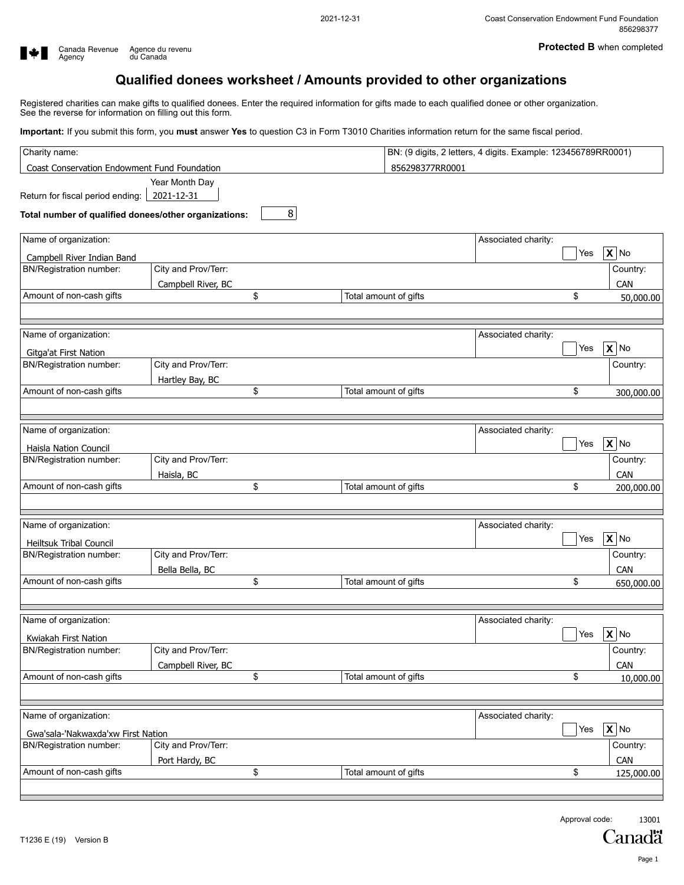

# **Qualified donees worksheet / Amounts provided to other organizations**

Registered charities can make gifts to qualified donees. Enter the required information for gifts made to each qualified donee or other organization. See the reverse for information on filling out this form.

**Important:** If you submit this form, you **must** answer **Yes** to question C3 in Form T3010 Charities information return for the same fiscal period.

| Coast Conservation Endowment Fund Foundation                     |         |                       |                     |     |                            |
|------------------------------------------------------------------|---------|-----------------------|---------------------|-----|----------------------------|
|                                                                  |         | 856298377RR0001       |                     |     |                            |
| Year Month Day<br>2021-12-31<br>Return for fiscal period ending: | $\bf 8$ |                       |                     |     |                            |
| Total number of qualified donees/other organizations:            |         |                       |                     |     |                            |
| Name of organization:                                            |         |                       | Associated charity: |     |                            |
| Campbell River Indian Band                                       |         |                       |                     | Yes | $X $ No                    |
| City and Prov/Terr:<br><b>BN/Registration number:</b>            |         |                       |                     |     | Country:                   |
| Campbell River, BC                                               |         |                       |                     |     | CAN                        |
| Amount of non-cash gifts                                         | \$      | Total amount of gifts |                     | \$  | 50,000.00                  |
|                                                                  |         |                       |                     |     |                            |
| Name of organization:                                            |         |                       | Associated charity: |     |                            |
| <b>Gitga'at First Nation</b>                                     |         |                       |                     | Yes | $\mathbf{X}$ No            |
| City and Prov/Terr:<br><b>BN/Registration number:</b>            |         |                       |                     |     | Country:                   |
| Hartley Bay, BC                                                  |         |                       |                     |     |                            |
| Amount of non-cash gifts                                         | \$      | Total amount of gifts |                     | \$  | 300,000.00                 |
|                                                                  |         |                       |                     |     |                            |
| Name of organization:                                            |         |                       | Associated charity: |     |                            |
| Haisla Nation Council                                            |         |                       |                     | Yes | $\overline{\mathbf{X}}$ No |
| City and Prov/Terr:<br>BN/Registration number:                   |         |                       |                     |     | Country:                   |
| Haisla, BC                                                       |         |                       |                     |     | CAN                        |
| Amount of non-cash gifts                                         | \$      | Total amount of gifts |                     | \$  | 200,000.00                 |
|                                                                  |         |                       |                     |     |                            |
| Name of organization:                                            |         |                       | Associated charity: |     |                            |
|                                                                  |         |                       |                     | Yes | $X$ No                     |
| <b>Heiltsuk Tribal Council</b><br>City and Prov/Terr:            |         |                       |                     |     | Country:                   |
| BN/Registration number:                                          |         |                       |                     |     |                            |
| Bella Bella, BC<br>Amount of non-cash gifts                      | \$      | Total amount of gifts |                     | \$  | CAN                        |
|                                                                  |         |                       |                     |     | 650,000.00                 |
| Name of organization:                                            |         |                       | Associated charity: |     |                            |
| Kwiakah First Nation                                             |         |                       |                     | Yes | $X$ No                     |
| City and Prov/Terr:<br>BN/Registration number:                   |         |                       |                     |     | Country:                   |
| Campbell River, BC                                               |         |                       |                     |     | CAN                        |
| Amount of non-cash gifts                                         | \$      | Total amount of gifts |                     | \$  | 10,000.00                  |
|                                                                  |         |                       |                     |     |                            |
| Name of organization:                                            |         |                       | Associated charity: |     |                            |
| Gwa'sala-'Nakwaxda'xw First Nation                               |         |                       |                     | Yes | $X$ No                     |
| City and Prov/Terr:<br><b>BN/Registration number:</b>            |         |                       |                     |     | Country:                   |
|                                                                  |         |                       |                     |     | CAN                        |
| Port Hardy, BC<br>Amount of non-cash gifts                       | \$      | Total amount of gifts |                     | \$  | 125,000.00                 |